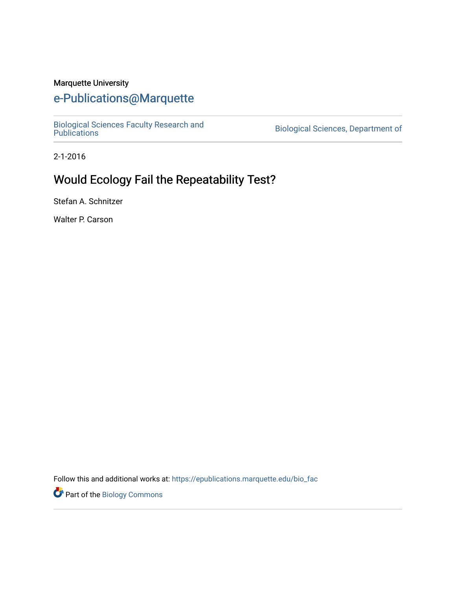#### Marquette University

## [e-Publications@Marquette](https://epublications.marquette.edu/)

[Biological Sciences Faculty Research and](https://epublications.marquette.edu/bio_fac)  [Publications](https://epublications.marquette.edu/bio_fac) [Biological Sciences, Department of](https://epublications.marquette.edu/biology) 

2-1-2016

# Would Ecology Fail the Repeatability Test?

Stefan A. Schnitzer

Walter P. Carson

Follow this and additional works at: [https://epublications.marquette.edu/bio\\_fac](https://epublications.marquette.edu/bio_fac?utm_source=epublications.marquette.edu%2Fbio_fac%2F716&utm_medium=PDF&utm_campaign=PDFCoverPages) 

**Part of the Biology Commons**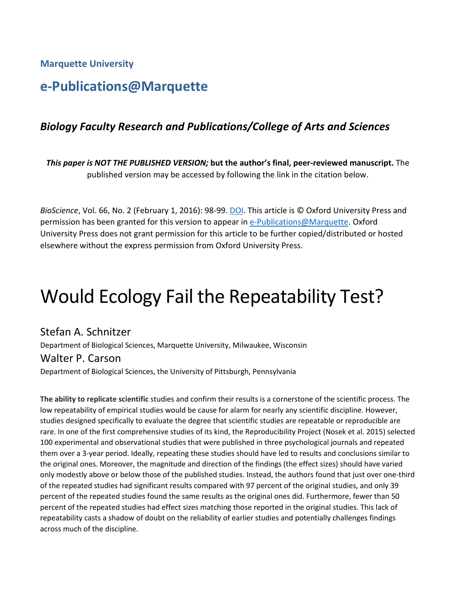**Marquette University**

## **e-Publications@Marquette**

### *Biology Faculty Research and Publications/College of Arts and Sciences*

*This paper is NOT THE PUBLISHED VERSION;* **but the author's final, peer-reviewed manuscript.** The published version may be accessed by following the link in the citation below.

*BioScience*, Vol. 66, No. 2 (February 1, 2016): 98-99. DOI. This article is © Oxford University Press and permission has been granted for this version to appear in [e-Publications@Marquette.](http://epublications.marquette.edu/) Oxford University Press does not grant permission for this article to be further copied/distributed or hosted elsewhere without the express permission from Oxford University Press.

# Would Ecology Fail the Repeatability Test?

Stefan A. Schnitzer

Department of Biological Sciences, Marquette University, Milwaukee, Wisconsin

### Walter P. Carson

Department of Biological Sciences, the University of Pittsburgh, Pennsylvania

**The ability to replicate scientific** studies and confirm their results is a cornerstone of the scientific process. The low repeatability of empirical studies would be cause for alarm for nearly any scientific discipline. However, studies designed specifically to evaluate the degree that scientific studies are repeatable or reproducible are rare. In one of the first comprehensive studies of its kind, the Reproducibility Project (Nosek et al. 2015) selected 100 experimental and observational studies that were published in three psychological journals and repeated them over a 3-year period. Ideally, repeating these studies should have led to results and conclusions similar to the original ones. Moreover, the magnitude and direction of the findings (the effect sizes) should have varied only modestly above or below those of the published studies. Instead, the authors found that just over one-third of the repeated studies had significant results compared with 97 percent of the original studies, and only 39 percent of the repeated studies found the same results as the original ones did. Furthermore, fewer than 50 percent of the repeated studies had effect sizes matching those reported in the original studies. This lack of repeatability casts a shadow of doubt on the reliability of earlier studies and potentially challenges findings across much of the discipline.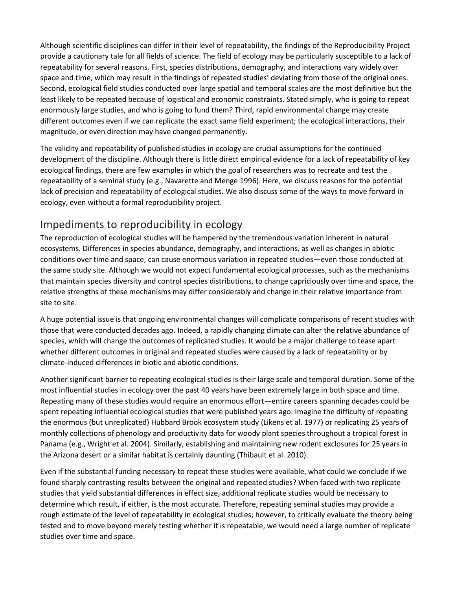Although scientific disciplines can differ in their level of repeatability, the findings of the Reproducibility Project provide a cautionary tale for all fields of science. The field of ecology may be particularly susceptible to a lack of repeatability for several reasons. First, species distributions, demography, and interactions vary widely over space and time, which may result in the findings of repeated studies' deviating from those of the original ones. Second, ecological field studies conducted over large spatial and temporal scales are the most definitive but the least likely to be repeated because of logistical and economic constraints. Stated simply, who is going to repeat enormously large studies, and who is going to fund them? Third, rapid environmental change may create different outcomes even if we can replicate the exact same field experiment; the ecological interactions, their magnitude, or even direction may have changed permanently.

The validity and repeatability of published studies in ecology are crucial assumptions for the continued development of the discipline. Although there is little direct empirical evidence for a lack of repeatability of key ecological findings, there are few examples in which the goal of researchers was to recreate and test the repeatability of a seminal study (e.g., Navarette and Menge 1996). Here, we discuss reasons for the potential lack of precision and repeatability of ecological studies. We also discuss some of the ways to move forward in ecology, even without a formal reproducibility project.

### Impediments to reproducibility in ecology

The reproduction of ecological studies will be hampered by the tremendous variation inherent in natural ecosystems. Differences in species abundance, demography, and interactions, as well as changes in abiotic conditions over time and space, can cause enormous variation in repeated studies—even those conducted at the same study site. Although we would not expect fundamental ecological processes, such as the mechanisms that maintain species diversity and control species distributions, to change capriciously over time and space, the relative strengths of these mechanisms may differ considerably and change in their relative importance from site to site.

A huge potential issue is that ongoing environmental changes will complicate comparisons of recent studies with those that were conducted decades ago. Indeed, a rapidly changing climate can alter the relative abundance of species, which will change the outcomes of replicated studies. It would be a major challenge to tease apart whether different outcomes in original and repeated studies were caused by a lack of repeatability or by climate-induced differences in biotic and abiotic conditions.

Another significant barrier to repeating ecological studies is their large scale and temporal duration. Some of the most influential studies in ecology over the past 40 years have been extremely large in both space and time. Repeating many of these studies would require an enormous effort—entire careers spanning decades could be spent repeating influential ecological studies that were published years ago. Imagine the difficulty of repeating the enormous (but unreplicated) Hubbard Brook ecosystem study (Likens et al. 1977) or replicating 25 years of monthly collections of phenology and productivity data for woody plant species throughout a tropical forest in Panama (e.g., Wright et al. 2004). Similarly, establishing and maintaining new rodent exclosures for 25 years in the Arizona desert or a similar habitat is certainly daunting (Thibault et al. 2010).

Even if the substantial funding necessary to repeat these studies were available, what could we conclude if we found sharply contrasting results between the original and repeated studies? When faced with two replicate studies that yield substantial differences in effect size, additional replicate studies would be necessary to determine which result, if either, is the most accurate. Therefore, repeating seminal studies may provide a rough estimate of the level of repeatability in ecological studies; however, to critically evaluate the theory being tested and to move beyond merely testing whether it is repeatable, we would need a large number of replicate studies over time and space.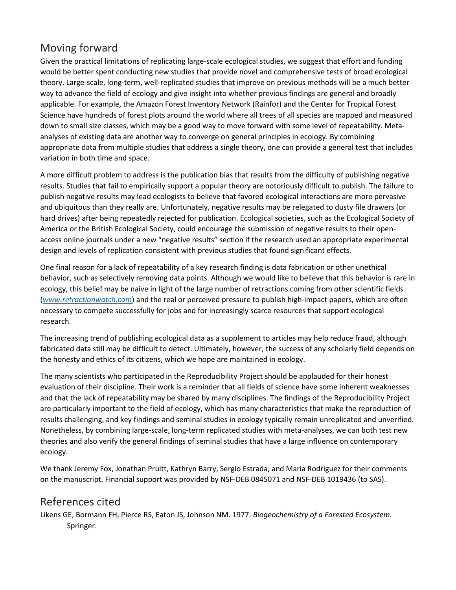### Moving forward

Given the practical limitations of replicating large-scale ecological studies, we suggest that effort and funding would be better spent conducting new studies that provide novel and comprehensive tests of broad ecological theory. Large-scale, long-term, well-replicated studies that improve on previous methods will be a much better way to advance the field of ecology and give insight into whether previous findings are general and broadly applicable. For example, the Amazon Forest Inventory Network (Rainfor) and the Center for Tropical Forest Science have hundreds of forest plots around the world where all trees of all species are mapped and measured down to small size classes, which may be a good way to move forward with some level of repeatability. Metaanalyses of existing data are another way to converge on general principles in ecology. By combining appropriate data from multiple studies that address a single theory, one can provide a general test that includes variation in both time and space.

A more difficult problem to address is the publication bias that results from the difficulty of publishing negative results. Studies that fail to empirically support a popular theory are notoriously difficult to publish. The failure to publish negative results may lead ecologists to believe that favored ecological interactions are more pervasive and ubiquitous than they really are. Unfortunately, negative results may be relegated to dusty file drawers (or hard drives) after being repeatedly rejected for publication. Ecological societies, such as the Ecological Society of America or the British Ecological Society, could encourage the submission of negative results to their openaccess online journals under a new "negative results" section if the research used an appropriate experimental design and levels of replication consistent with previous studies that found significant effects.

One final reason for a lack of repeatability of a key research finding is data fabrication or other unethical behavior, such as selectively removing data points. Although we would like to believe that this behavior is rare in ecology, this belief may be naive in light of the large number of retractions coming from other scientific fields (*[www.retractionwatch.com](http://www.retractionwatch.com/)*) and the real or perceived pressure to publish high-impact papers, which are often necessary to compete successfully for jobs and for increasingly scarce resources that support ecological research.

The increasing trend of publishing ecological data as a supplement to articles may help reduce fraud, although fabricated data still may be difficult to detect. Ultimately, however, the success of any scholarly field depends on the honesty and ethics of its citizens, which we hope are maintained in ecology.

The many scientists who participated in the Reproducibility Project should be applauded for their honest evaluation of their discipline. Their work is a reminder that all fields of science have some inherent weaknesses and that the lack of repeatability may be shared by many disciplines. The findings of the Reproducibility Project are particularly important to the field of ecology, which has many characteristics that make the reproduction of results challenging, and key findings and seminal studies in ecology typically remain unreplicated and unverified. Nonetheless, by combining large-scale, long-term replicated studies with meta-analyses, we can both test new theories and also verify the general findings of seminal studies that have a large influence on contemporary ecology.

We thank Jeremy Fox, Jonathan Pruitt, Kathryn Barry, Sergio Estrada, and Maria Rodriguez for their comments on the manuscript. Financial support was provided by NSF-DEB 0845071 and NSF-DEB 1019436 (to SAS).

### References cited

Likens GE, Bormann FH, Pierce RS, Eaton JS, Johnson NM. 1977. *Biogeochemistry of a Forested Ecosystem.* Springer.